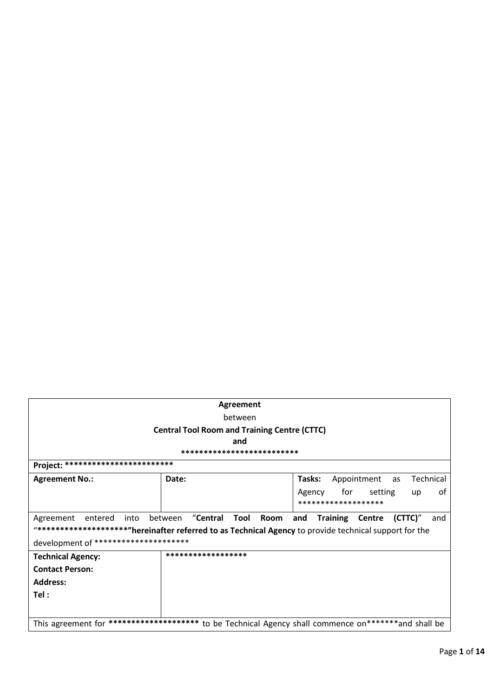| <b>Agreement</b>                                                                                     |                                                     |                                                                                                          |  |  |
|------------------------------------------------------------------------------------------------------|-----------------------------------------------------|----------------------------------------------------------------------------------------------------------|--|--|
| between                                                                                              |                                                     |                                                                                                          |  |  |
|                                                                                                      | <b>Central Tool Room and Training Centre (CTTC)</b> |                                                                                                          |  |  |
|                                                                                                      | and                                                 |                                                                                                          |  |  |
|                                                                                                      | **********************                              |                                                                                                          |  |  |
| ************************<br>Project:                                                                 |                                                     |                                                                                                          |  |  |
| <b>Agreement No.:</b>                                                                                | Date:                                               | Appointment as<br>Technical<br>Tasks:                                                                    |  |  |
|                                                                                                      |                                                     | for<br>setting<br>Agency<br>0t<br>up                                                                     |  |  |
|                                                                                                      |                                                     | *******************                                                                                      |  |  |
| entered<br>into<br>Agreement                                                                         | "Central<br>Tool<br>Room<br>between                 | <b>Training</b><br>$(CTTC)$ "<br>and<br>Centre<br>and                                                    |  |  |
|                                                                                                      |                                                     | "**********************"hereinafter referred to as Technical Agency to provide technical support for the |  |  |
| development of **********************                                                                |                                                     |                                                                                                          |  |  |
| ******************<br><b>Technical Agency:</b>                                                       |                                                     |                                                                                                          |  |  |
| <b>Contact Person:</b>                                                                               |                                                     |                                                                                                          |  |  |
| <b>Address:</b>                                                                                      |                                                     |                                                                                                          |  |  |
| Tel:                                                                                                 |                                                     |                                                                                                          |  |  |
|                                                                                                      |                                                     |                                                                                                          |  |  |
| This agreement for ********************* to be Technical Agency shall commence on*******and shall be |                                                     |                                                                                                          |  |  |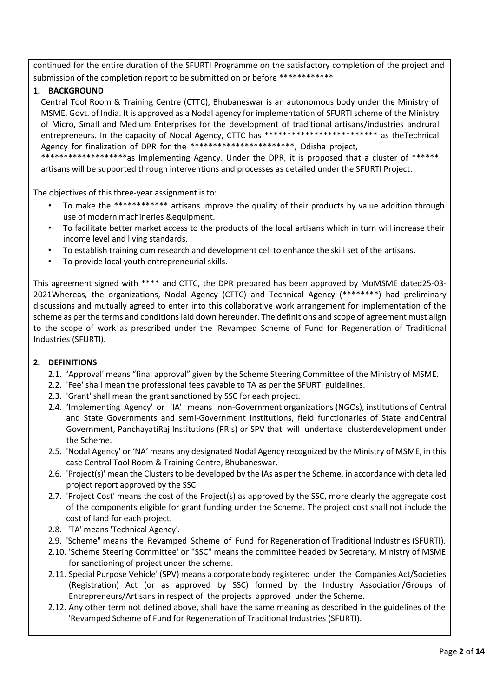continued for the entire duration of the SFURTI Programme on the satisfactory completion of the project and submission of the completion report to be submitted on or before \*\*\*\*\*\*\*\*\*\*\*\*\*

# **1. BACKGROUND**

Central Tool Room & Training Centre (CTTC), Bhubaneswar is an autonomous body under the Ministry of MSME, Govt. of India. It is approved as a Nodal agency for implementation of SFURTI scheme of the Ministry of Micro, Small and Medium Enterprises for the development of traditional artisans/industries andrural entrepreneurs. In the capacity of Nodal Agency, CTTC has \*\*\*\*\*\*\*\*\*\*\*\*\*\*\*\*\*\*\*\*\*\*\*\*\*\* as theTechnical Agency for finalization of DPR for the \*\*\*\*\*\*\*\*\*\*\*\*\*\*\*\*\*\*\*\*\*\*\*\*\*, Odisha project,

\*\*\*\*\*\*\*\*\*\*\*\*\*\*\*\*\*\*\*\*as Implementing Agency. Under the DPR, it is proposed that a cluster of \*\*\*\*\*\* artisans will be supported through interventions and processes as detailed under the SFURTI Project.

The objectives of this three-year assignment is to:

- To make the \*\*\*\*\*\*\*\*\*\*\*\* artisans improve the quality of their products by value addition through use of modern machineries &equipment.
- To facilitate better market access to the products of the local artisans which in turn will increase their income level and living standards.
- To establish training cum research and development cell to enhance the skill set of the artisans.
- To provide local youth entrepreneurial skills.

This agreement signed with \*\*\*\* and CTTC, the DPR prepared has been approved by MoMSME dated25-03- 2021Whereas, the organizations, Nodal Agency (CTTC) and Technical Agency (\*\*\*\*\*\*\*\*) had preliminary discussions and mutually agreed to enter into this collaborative work arrangement for implementation of the scheme as per the terms and conditions laid down hereunder. The definitions and scope of agreement must align to the scope of work as prescribed under the 'Revamped Scheme of Fund for Regeneration of Traditional Industries (SFURTI).

# **2. DEFINITIONS**

- 2.1. 'Approval' means "final approval" given by the Scheme Steering Committee of the Ministry of MSME.
- 2.2. 'Fee' shall mean the professional fees payable to TA as per the SFURTI guidelines.
- 2.3. 'Grant' shall mean the grant sanctioned by SSC for each project.
- 2.4. 'Implementing Agency' or 'IA' means non-Government organizations (NGOs), institutions of Central and State Governments and semi-Government Institutions, field functionaries of State andCentral Government, PanchayatiRaj Institutions (PRIs) or SPV that will undertake clusterdevelopment under the Scheme.
- 2.5. 'Nodal Agency' or 'NA' means any designated Nodal Agency recognized by the Ministry of MSME, in this case Central Tool Room & Training Centre, Bhubaneswar.
- 2.6. 'Project(s)' mean the Clusters to be developed by the IAs as per the Scheme, in accordance with detailed project report approved by the SSC.
- 2.7. 'Project Cost' means the cost of the Project(s) as approved by the SSC, more clearly the aggregate cost of the components eligible for grant funding under the Scheme. The project cost shall not include the cost of land for each project.
- 2.8. 'TA' means 'Technical Agency'.
- 2.9. 'Scheme" means the Revamped Scheme of Fund for Regeneration of Traditional Industries (SFURTI).
- 2.10. 'Scheme Steering Committee' or "SSC" means the committee headed by Secretary, Ministry of MSME for sanctioning of project under the scheme.
- 2.11. Special Purpose Vehicle' (SPV) means a corporate body registered under the Companies Act/Societies (Registration) Act (or as approved by SSC) formed by the Industry Association/Groups of Entrepreneurs/Artisans in respect of the projects approved under the Scheme.
- 2.12. Any other term not defined above, shall have the same meaning as described in the guidelines of the 'Revamped Scheme of Fund for Regeneration of Traditional Industries (SFURTI).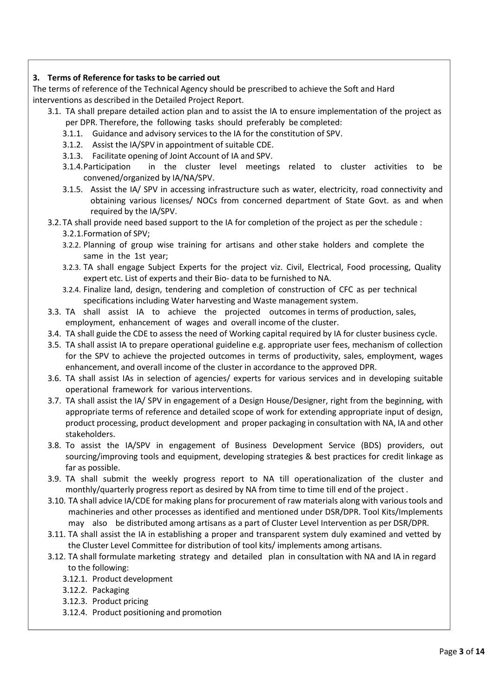# **3. Terms of Reference for tasks to be carried out**

The terms of reference of the Technical Agency should be prescribed to achieve the Soft and Hard interventions as described in the Detailed Project Report.

- 3.1. TA shall prepare detailed action plan and to assist the IA to ensure implementation of the project as per DPR. Therefore, the following tasks should preferably be completed:
	- 3.1.1. Guidance and advisory services to the IA for the constitution of SPV.
	- 3.1.2. Assist the IA/SPV in appointment of suitable CDE.
	- 3.1.3. Facilitate opening of Joint Account of IA and SPV.
	- 3.1.4.Participation in the cluster level meetings related to cluster activities to be convened/organized by IA/NA/SPV.
	- 3.1.5. Assist the IA/ SPV in accessing infrastructure such as water, electricity, road connectivity and obtaining various licenses/ NOCs from concerned department of State Govt. as and when required by the IA/SPV.
- 3.2. TA shall provide need based support to the IA for completion of the project as per the schedule : 3.2.1.Formation of SPV;
	- 3.2.2. Planning of group wise training for artisans and other stake holders and complete the same in the 1st year;
	- 3.2.3. TA shall engage Subject Experts for the project viz. Civil, Electrical, Food processing, Quality expert etc. List of experts and their Bio- data to be furnished to NA.
	- 3.2.4. Finalize land, design, tendering and completion of construction of CFC as per technical specifications including Water harvesting and Waste management system.
- 3.3. TA shall assist IA to achieve the projected outcomes in terms of production, sales, employment, enhancement of wages and overall income of the cluster.
- 3.4. TA shall guide the CDE to assess the need of Working capital required by IA for cluster business cycle.
- 3.5. TA shall assist IA to prepare operational guideline e.g. appropriate user fees, mechanism of collection for the SPV to achieve the projected outcomes in terms of productivity, sales, employment, wages enhancement, and overall income of the cluster in accordance to the approved DPR.
- 3.6. TA shall assist IAs in selection of agencies/ experts for various services and in developing suitable operational framework for various interventions.
- 3.7. TA shall assist the IA/ SPV in engagement of a Design House/Designer, right from the beginning, with appropriate terms of reference and detailed scope of work for extending appropriate input of design, product processing, product development and proper packaging in consultation with NA, IA and other stakeholders.
- 3.8. To assist the IA/SPV in engagement of Business Development Service (BDS) providers, out sourcing/improving tools and equipment, developing strategies & best practices for credit linkage as far as possible.
- 3.9. TA shall submit the weekly progress report to NA till operationalization of the cluster and monthly/quarterly progress report as desired by NA from time to time till end of the project .
- 3.10. TA shall advice IA/CDE for making plans for procurement of raw materials along with various tools and machineries and other processes as identified and mentioned under DSR/DPR. Tool Kits/Implements may also be distributed among artisans as a part of Cluster Level Intervention as per DSR/DPR.
- 3.11. TA shall assist the IA in establishing a proper and transparent system duly examined and vetted by the Cluster Level Committee for distribution of tool kits/ implements among artisans.
- 3.12. TA shall formulate marketing strategy and detailed plan in consultation with NA and IA in regard to the following:
	- 3.12.1. Product development
	- 3.12.2. Packaging
	- 3.12.3. Product pricing
	- 3.12.4. Product positioning and promotion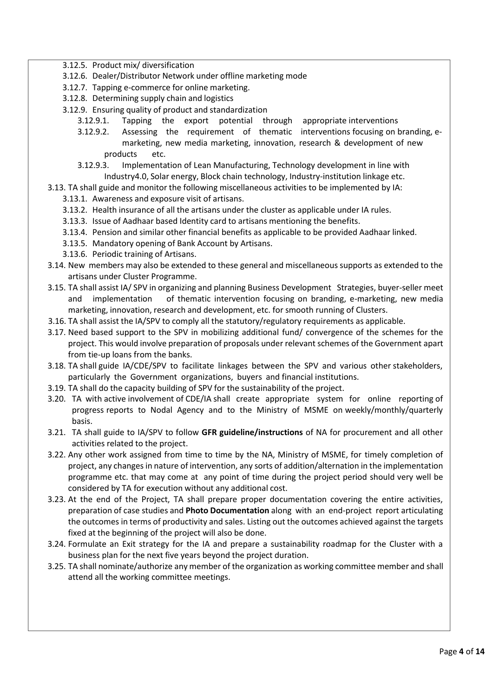- 3.12.5. Product mix/ diversification
- 3.12.6. Dealer/Distributor Network under offline marketing mode
- 3.12.7. Tapping e-commerce for online marketing.
- 3.12.8. Determining supply chain and logistics
- 3.12.9. Ensuring quality of product and standardization
	- 3.12.9.1. Tapping the export potential through appropriate interventions
	- 3.12.9.2. Assessing the requirement of thematic interventions focusing on branding, emarketing, new media marketing, innovation, research & development of new products etc.
	- 3.12.9.3. Implementation of Lean Manufacturing, Technology development in line with Industry4.0, Solar energy, Block chain technology, Industry-institution linkage etc.
- 3.13. TA shall guide and monitor the following miscellaneous activities to be implemented by IA: 3.13.1. Awareness and exposure visit of artisans.
	- 3.13.2. Health insurance of all the artisans under the cluster as applicable under IA rules.
	- 3.13.3. Issue of Aadhaar based Identity card to artisans mentioning the benefits.
	- 3.13.4. Pension and similar other financial benefits as applicable to be provided Aadhaar linked.
	- 3.13.5. Mandatory opening of Bank Account by Artisans.
	- 3.13.6. Periodic training of Artisans.
- 3.14. New members may also be extended to these general and miscellaneous supports as extended to the artisans under Cluster Programme.
- 3.15. TA shall assist IA/ SPV in organizing and planning Business Development Strategies, buyer-seller meet and implementation of thematic intervention focusing on branding, e-marketing, new media marketing, innovation, research and development, etc. for smooth running of Clusters.
- 3.16. TA shall assist the IA/SPV to comply all the statutory/regulatory requirements as applicable.
- 3.17. Need based support to the SPV in mobilizing additional fund/ convergence of the schemes for the project. This would involve preparation of proposals under relevant schemes of the Government apart from tie-up loans from the banks.
- 3.18. TA shall guide IA/CDE/SPV to facilitate linkages between the SPV and various other stakeholders, particularly the Government organizations, buyers and financial institutions.
- 3.19. TA shall do the capacity building of SPV for the sustainability of the project.
- 3.20. TA with active involvement of CDE/IA shall create appropriate system for online reporting of progress reports to Nodal Agency and to the Ministry of MSME on weekly/monthly/quarterly basis.
- 3.21. TA shall guide to IA/SPV to follow **GFR guideline/instructions** of NA for procurement and all other activities related to the project.
- 3.22. Any other work assigned from time to time by the NA, Ministry of MSME, for timely completion of project, any changesin nature of intervention, any sorts of addition/alternation in the implementation programme etc. that may come at any point of time during the project period should very well be considered by TA for execution without any additional cost.
- 3.23. At the end of the Project, TA shall prepare proper documentation covering the entire activities, preparation of case studies and **Photo Documentation** along with an end-project report articulating the outcomes in terms of productivity and sales. Listing out the outcomes achieved against the targets fixed at the beginning of the project will also be done.
- 3.24. Formulate an Exit strategy for the IA and prepare a sustainability roadmap for the Cluster with a business plan for the next five years beyond the project duration.
- 3.25. TA shall nominate/authorize any member of the organization as working committee member and shall attend all the working committee meetings.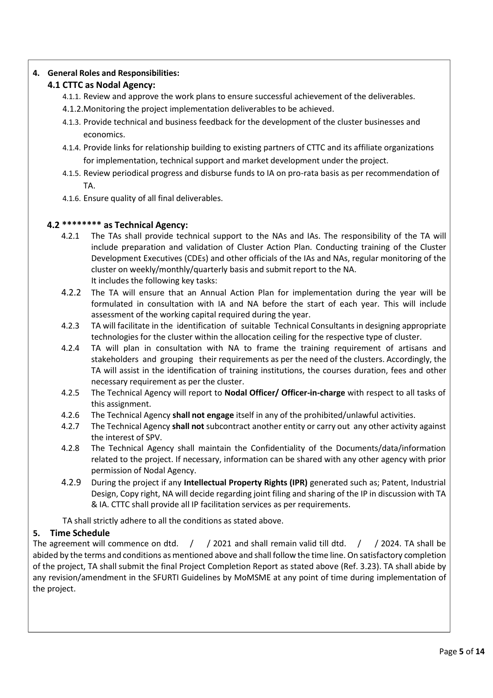# **4. General Roles and Responsibilities:**

# **4.1 CTTC as Nodal Agency:**

- 4.1.1. Review and approve the work plans to ensure successful achievement of the deliverables.
- 4.1.2.Monitoring the project implementation deliverables to be achieved.
- 4.1.3. Provide technical and business feedback for the development of the cluster businesses and economics.
- 4.1.4. Provide links for relationship building to existing partners of CTTC and its affiliate organizations for implementation, technical support and market development under the project.
- 4.1.5. Review periodical progress and disburse funds to IA on pro-rata basis as per recommendation of TA.
- 4.1.6. Ensure quality of all final deliverables.

# **4.2 \*\*\*\*\*\*\*\* as Technical Agency:**

- 4.2.1 The TAs shall provide technical support to the NAs and IAs. The responsibility of the TA will include preparation and validation of Cluster Action Plan. Conducting training of the Cluster Development Executives (CDEs) and other officials of the IAs and NAs, regular monitoring of the cluster on weekly/monthly/quarterly basis and submit report to the NA. It includes the following key tasks:
- 4.2.2 The TA will ensure that an Annual Action Plan for implementation during the year will be formulated in consultation with IA and NA before the start of each year. This will include assessment of the working capital required during the year.
- 4.2.3 TA will facilitate in the identification of suitable Technical Consultants in designing appropriate technologies for the cluster within the allocation ceiling for the respective type of cluster.
- 4.2.4 TA will plan in consultation with NA to frame the training requirement of artisans and stakeholders and grouping their requirements as per the need of the clusters. Accordingly, the TA will assist in the identification of training institutions, the courses duration, fees and other necessary requirement as per the cluster.
- 4.2.5 The Technical Agency will report to **Nodal Officer/ Officer-in-charge** with respect to all tasks of this assignment.
- 4.2.6 The Technical Agency **shall not engage** itself in any of the prohibited/unlawful activities.
- 4.2.7 The Technical Agency **shall not** subcontract another entity or carry out any other activity against the interest of SPV.
- 4.2.8 The Technical Agency shall maintain the Confidentiality of the Documents/data/information related to the project. If necessary, information can be shared with any other agency with prior permission of Nodal Agency.
- 4.2.9 During the project if any **Intellectual Property Rights (IPR)** generated such as; Patent, Industrial Design, Copy right, NA will decide regarding joint filing and sharing of the IP in discussion with TA & IA. CTTC shall provide all IP facilitation services as per requirements.

TA shall strictly adhere to all the conditions as stated above.

# **5. Time Schedule**

The agreement will commence on dtd. / / 2021 and shall remain valid till dtd. / / 2024. TA shall be abided by the terms and conditions as mentioned above and shall follow the time line. On satisfactory completion of the project, TA shall submit the final Project Completion Report as stated above (Ref. 3.23). TA shall abide by any revision/amendment in the SFURTI Guidelines by MoMSME at any point of time during implementation of the project.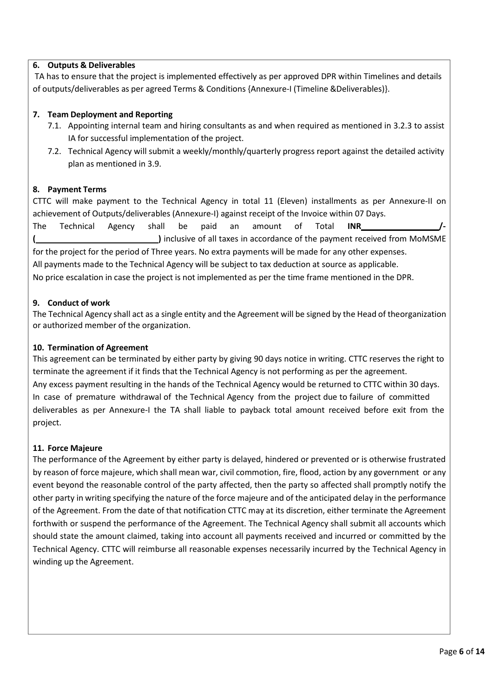# **6. Outputs & Deliverables**

TA has to ensure that the project is implemented effectively as per approved DPR within Timelines and details of outputs/deliverables as per agreed Terms & Conditions {Annexure-I (Timeline &Deliverables)}.

# **7. Team Deployment and Reporting**

- 7.1. Appointing internal team and hiring consultants as and when required as mentioned in 3.2.3 to assist IA for successful implementation of the project.
- 7.2. Technical Agency will submit a weekly/monthly/quarterly progress report against the detailed activity plan as mentioned in 3.9.

#### **8. Payment Terms**

CTTC will make payment to the Technical Agency in total 11 (Eleven) installments as per Annexure-II on achievement of Outputs/deliverables (Annexure-I) against receipt of the Invoice within 07 Days.

The Technical Agency shall be paid an amount of Total **INR /- ( )** inclusive of all taxes in accordance of the payment received from MoMSME for the project for the period of Three years. No extra payments will be made for any other expenses. All payments made to the Technical Agency will be subject to tax deduction at source as applicable. No price escalation in case the project is not implemented as per the time frame mentioned in the DPR.

#### **9. Conduct of work**

The Technical Agency shall act as a single entity and the Agreement will be signed by the Head of theorganization or authorized member of the organization.

#### **10. Termination of Agreement**

This agreement can be terminated by either party by giving 90 days notice in writing. CTTC reserves the right to terminate the agreement if it finds that the Technical Agency is not performing as per the agreement. Any excess payment resulting in the hands of the Technical Agency would be returned to CTTC within 30 days. In case of premature withdrawal of the Technical Agency from the project due to failure of committed deliverables as per Annexure-I the TA shall liable to payback total amount received before exit from the project.

#### **11. Force Majeure**

The performance of the Agreement by either party is delayed, hindered or prevented or is otherwise frustrated by reason of force majeure, which shall mean war, civil commotion, fire, flood, action by any government or any event beyond the reasonable control of the party affected, then the party so affected shall promptly notify the other party in writing specifying the nature of the force majeure and of the anticipated delay in the performance of the Agreement. From the date of that notification CTTC may at its discretion, either terminate the Agreement forthwith or suspend the performance of the Agreement. The Technical Agency shall submit all accounts which should state the amount claimed, taking into account all payments received and incurred or committed by the Technical Agency. CTTC will reimburse all reasonable expenses necessarily incurred by the Technical Agency in winding up the Agreement.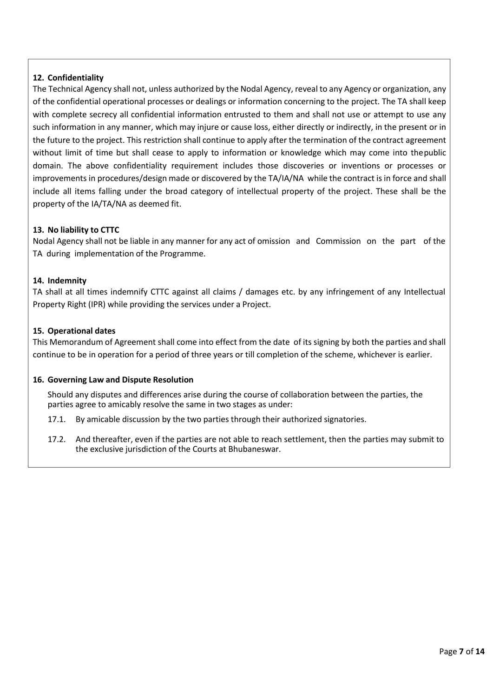# **12. Confidentiality**

The Technical Agency shall not, unless authorized by the Nodal Agency, reveal to any Agency or organization, any of the confidential operational processes or dealings or information concerning to the project. The TA shall keep with complete secrecy all confidential information entrusted to them and shall not use or attempt to use any such information in any manner, which may injure or cause loss, either directly or indirectly, in the present or in the future to the project. This restriction shall continue to apply after the termination of the contract agreement without limit of time but shall cease to apply to information or knowledge which may come into thepublic domain. The above confidentiality requirement includes those discoveries or inventions or processes or improvements in procedures/design made or discovered by the TA/IA/NA while the contract is in force and shall include all items falling under the broad category of intellectual property of the project. These shall be the property of the IA/TA/NA as deemed fit.

#### **13. No liability to CTTC**

Nodal Agency shall not be liable in any manner for any act of omission and Commission on the part of the TA during implementation of the Programme.

#### **14. Indemnity**

TA shall at all times indemnify CTTC against all claims / damages etc. by any infringement of any Intellectual Property Right (IPR) while providing the services under a Project.

#### **15. Operational dates**

This Memorandum of Agreement shall come into effect from the date of its signing by both the parties and shall continue to be in operation for a period of three years or till completion of the scheme, whichever is earlier.

#### **16. Governing Law and Dispute Resolution**

Should any disputes and differences arise during the course of collaboration between the parties, the parties agree to amicably resolve the same in two stages as under:

- 17.1. By amicable discussion by the two parties through their authorized signatories.
- 17.2. And thereafter, even if the parties are not able to reach settlement, then the parties may submit to the exclusive jurisdiction of the Courts at Bhubaneswar.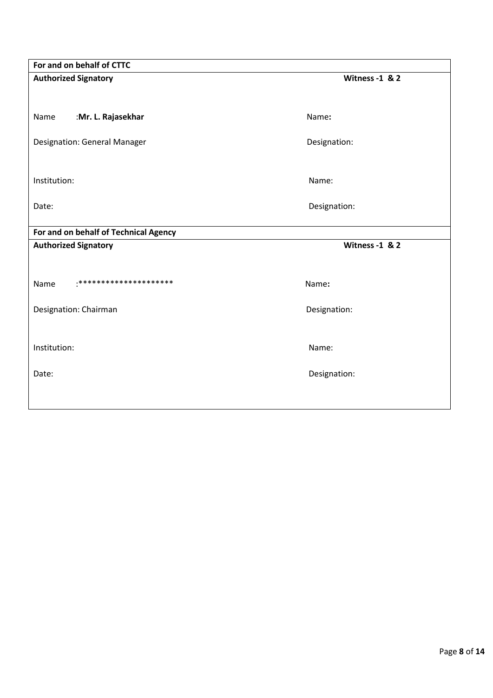| For and on behalf of CTTC             |                |  |  |  |
|---------------------------------------|----------------|--|--|--|
| <b>Authorized Signatory</b>           | Witness -1 & 2 |  |  |  |
|                                       |                |  |  |  |
| :Mr. L. Rajasekhar<br>Name            | Name:          |  |  |  |
| <b>Designation: General Manager</b>   | Designation:   |  |  |  |
|                                       |                |  |  |  |
| Institution:                          | Name:          |  |  |  |
| Date:                                 | Designation:   |  |  |  |
| For and on behalf of Technical Agency |                |  |  |  |
|                                       |                |  |  |  |
| <b>Authorized Signatory</b>           | Witness -1 & 2 |  |  |  |
|                                       |                |  |  |  |
| *********************<br>Name         | Name:          |  |  |  |
| Designation: Chairman                 | Designation:   |  |  |  |
|                                       |                |  |  |  |
| Institution:                          | Name:          |  |  |  |
| Date:                                 | Designation:   |  |  |  |
|                                       |                |  |  |  |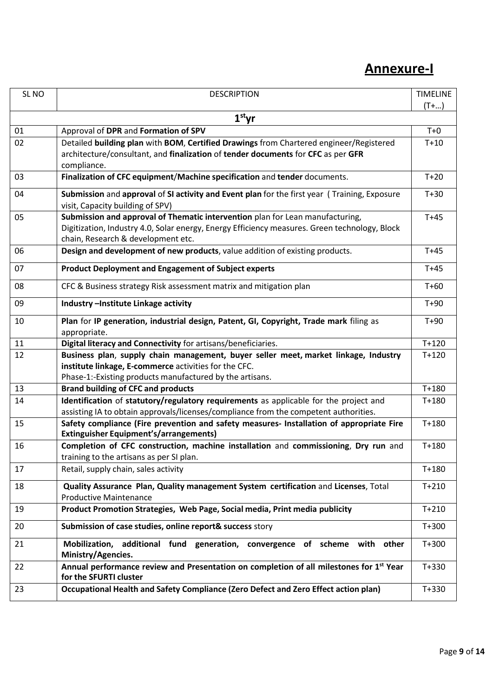# **Annexure-I**

| SL <sub>NO</sub> | <b>DESCRIPTION</b>                                                                                                                        | <b>TIMELINE</b><br>$(T + )$ |  |  |
|------------------|-------------------------------------------------------------------------------------------------------------------------------------------|-----------------------------|--|--|
|                  |                                                                                                                                           |                             |  |  |
| $1st$ yr         |                                                                                                                                           |                             |  |  |
| 01               | Approval of DPR and Formation of SPV                                                                                                      | $T+0$                       |  |  |
| 02               | Detailed building plan with BOM, Certified Drawings from Chartered engineer/Registered                                                    | $T+10$                      |  |  |
|                  | architecture/consultant, and finalization of tender documents for CFC as per GFR<br>compliance.                                           |                             |  |  |
| 03               | Finalization of CFC equipment/Machine specification and tender documents.                                                                 | $T+20$                      |  |  |
| 04               | Submission and approval of SI activity and Event plan for the first year (Training, Exposure<br>visit, Capacity building of SPV)          | $T+30$                      |  |  |
| 05               | Submission and approval of Thematic intervention plan for Lean manufacturing,                                                             | $T+45$                      |  |  |
|                  | Digitization, Industry 4.0, Solar energy, Energy Efficiency measures. Green technology, Block<br>chain, Research & development etc.       |                             |  |  |
| 06               | Design and development of new products, value addition of existing products.                                                              | $T+45$                      |  |  |
| 07               | <b>Product Deployment and Engagement of Subject experts</b>                                                                               | $T+45$                      |  |  |
| 08               | CFC & Business strategy Risk assessment matrix and mitigation plan                                                                        | $T+60$                      |  |  |
| 09               | Industry - Institute Linkage activity                                                                                                     | $T+90$                      |  |  |
| 10               | Plan for IP generation, industrial design, Patent, GI, Copyright, Trade mark filing as                                                    | $T+90$                      |  |  |
| 11               | appropriate.<br>Digital literacy and Connectivity for artisans/beneficiaries.                                                             | $T+120$                     |  |  |
| 12               | Business plan, supply chain management, buyer seller meet, market linkage, Industry                                                       | $T + 120$                   |  |  |
|                  | institute linkage, E-commerce activities for the CFC.                                                                                     |                             |  |  |
|                  | Phase-1:-Existing products manufactured by the artisans.                                                                                  |                             |  |  |
| 13               | <b>Brand building of CFC and products</b>                                                                                                 | $T+180$                     |  |  |
| 14               | Identification of statutory/regulatory requirements as applicable for the project and                                                     |                             |  |  |
|                  | assisting IA to obtain approvals/licenses/compliance from the competent authorities.                                                      |                             |  |  |
| 15               | Safety compliance (Fire prevention and safety measures- Installation of appropriate Fire<br><b>Extinguisher Equipment's/arrangements)</b> | $T+180$                     |  |  |
| 16               | Completion of CFC construction, machine installation and commissioning, Dry run and                                                       | $T + 180$                   |  |  |
|                  | training to the artisans as per SI plan.                                                                                                  |                             |  |  |
| 17               | Retail, supply chain, sales activity                                                                                                      | $T + 180$                   |  |  |
| 18               | Quality Assurance Plan, Quality management System certification and Licenses, Total                                                       | $T + 210$                   |  |  |
|                  | <b>Productive Maintenance</b>                                                                                                             |                             |  |  |
| 19               | Product Promotion Strategies, Web Page, Social media, Print media publicity                                                               | $T + 210$                   |  |  |
| 20               | Submission of case studies, online report& success story                                                                                  | $T + 300$                   |  |  |
| 21               | Mobilization, additional fund generation, convergence of scheme with other<br>Ministry/Agencies.                                          | $T + 300$                   |  |  |
| 22               | Annual performance review and Presentation on completion of all milestones for 1st Year<br>for the SFURTI cluster                         | $T + 330$                   |  |  |
| 23               | Occupational Health and Safety Compliance (Zero Defect and Zero Effect action plan)                                                       | $T + 330$                   |  |  |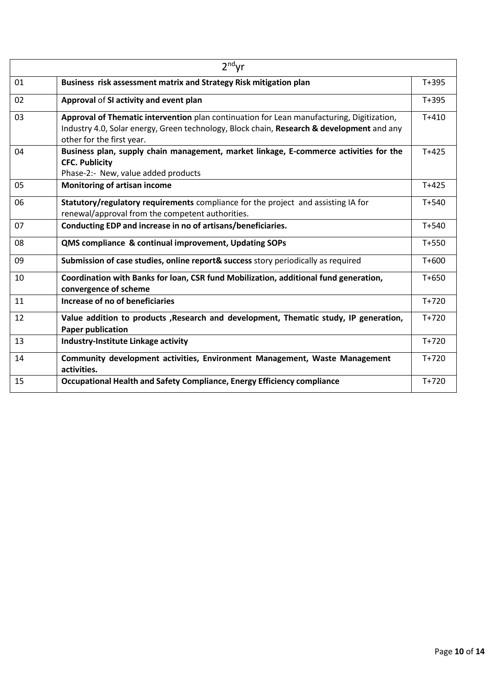| $2nd$ yr |                                                                                                                                                                                                                     |           |  |
|----------|---------------------------------------------------------------------------------------------------------------------------------------------------------------------------------------------------------------------|-----------|--|
| 01       | Business risk assessment matrix and Strategy Risk mitigation plan                                                                                                                                                   | $T+395$   |  |
| 02       | Approval of SI activity and event plan                                                                                                                                                                              | $T + 395$ |  |
| 03       | Approval of Thematic intervention plan continuation for Lean manufacturing, Digitization,<br>Industry 4.0, Solar energy, Green technology, Block chain, Research & development and any<br>other for the first year. | $T + 410$ |  |
| 04       | Business plan, supply chain management, market linkage, E-commerce activities for the<br><b>CFC. Publicity</b><br>Phase-2:- New, value added products                                                               | $T + 425$ |  |
| 05       | <b>Monitoring of artisan income</b>                                                                                                                                                                                 | $T+425$   |  |
| 06       | Statutory/regulatory requirements compliance for the project and assisting IA for<br>renewal/approval from the competent authorities.                                                                               | $T + 540$ |  |
| 07       | Conducting EDP and increase in no of artisans/beneficiaries.                                                                                                                                                        | $T + 540$ |  |
| 08       | QMS compliance & continual improvement, Updating SOPs                                                                                                                                                               | $T+550$   |  |
| 09       | Submission of case studies, online report& success story periodically as required                                                                                                                                   | T+600     |  |
| 10       | Coordination with Banks for loan, CSR fund Mobilization, additional fund generation,<br>convergence of scheme                                                                                                       | $T + 650$ |  |
| 11       | Increase of no of beneficiaries                                                                                                                                                                                     | $T + 720$ |  |
| 12       | Value addition to products , Research and development, Thematic study, IP generation,<br><b>Paper publication</b>                                                                                                   | $T + 720$ |  |
| 13       | Industry-Institute Linkage activity                                                                                                                                                                                 | $T+720$   |  |
| 14       | Community development activities, Environment Management, Waste Management<br>activities.                                                                                                                           | $T+720$   |  |
| 15       | Occupational Health and Safety Compliance, Energy Efficiency compliance                                                                                                                                             | $T+720$   |  |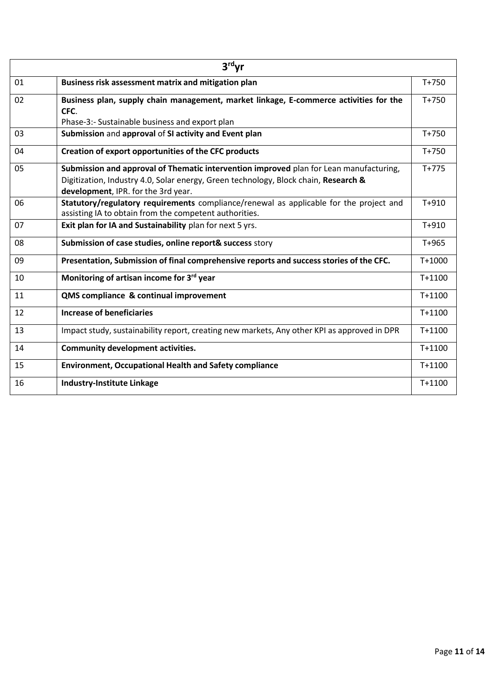| $3rd$ yr |                                                                                                                                                                                                                      |            |  |
|----------|----------------------------------------------------------------------------------------------------------------------------------------------------------------------------------------------------------------------|------------|--|
| 01       | Business risk assessment matrix and mitigation plan                                                                                                                                                                  | $T + 750$  |  |
| 02       | Business plan, supply chain management, market linkage, E-commerce activities for the<br>CFC.                                                                                                                        | $T + 750$  |  |
|          | Phase-3:- Sustainable business and export plan                                                                                                                                                                       |            |  |
| 03       | Submission and approval of SI activity and Event plan                                                                                                                                                                | $T + 750$  |  |
| 04       | Creation of export opportunities of the CFC products                                                                                                                                                                 | $T + 750$  |  |
| 05       | Submission and approval of Thematic intervention improved plan for Lean manufacturing,<br>Digitization, Industry 4.0, Solar energy, Green technology, Block chain, Research &<br>development, IPR. for the 3rd year. | $T+775$    |  |
| 06       | Statutory/regulatory requirements compliance/renewal as applicable for the project and<br>assisting IA to obtain from the competent authorities.                                                                     | $T + 910$  |  |
| 07       | Exit plan for IA and Sustainability plan for next 5 yrs.                                                                                                                                                             | $T + 910$  |  |
| 08       | Submission of case studies, online report& success story                                                                                                                                                             | $T+965$    |  |
| 09       | Presentation, Submission of final comprehensive reports and success stories of the CFC.                                                                                                                              | $T+1000$   |  |
| 10       | Monitoring of artisan income for 3rd year                                                                                                                                                                            | $T+1100$   |  |
| 11       | QMS compliance & continual improvement                                                                                                                                                                               | $T + 1100$ |  |
| 12       | <b>Increase of beneficiaries</b>                                                                                                                                                                                     | $T+1100$   |  |
| 13       | Impact study, sustainability report, creating new markets, Any other KPI as approved in DPR                                                                                                                          | $T+1100$   |  |
| 14       | <b>Community development activities.</b>                                                                                                                                                                             | $T+1100$   |  |
| 15       | <b>Environment, Occupational Health and Safety compliance</b>                                                                                                                                                        | T+1100     |  |
| 16       | <b>Industry-Institute Linkage</b>                                                                                                                                                                                    | T+1100     |  |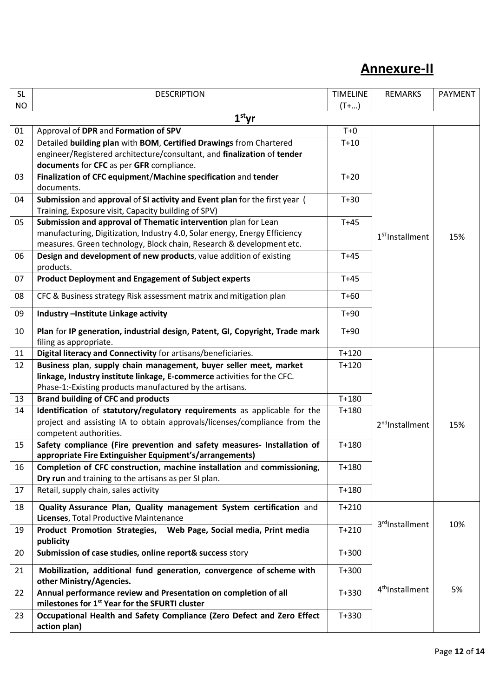# **Annexure-II**

| <b>SL</b> | <b>DESCRIPTION</b>                                                                                                                                     | <b>TIMELINE</b> | <b>REMARKS</b>              | PAYMENT |
|-----------|--------------------------------------------------------------------------------------------------------------------------------------------------------|-----------------|-----------------------------|---------|
| <b>NO</b> |                                                                                                                                                        | $(T + )$        |                             |         |
|           | $1st$ yr                                                                                                                                               |                 |                             |         |
| 01        | Approval of DPR and Formation of SPV                                                                                                                   | $T+0$           |                             |         |
| 02        | Detailed building plan with BOM, Certified Drawings from Chartered                                                                                     | $T+10$          |                             |         |
|           | engineer/Registered architecture/consultant, and finalization of tender                                                                                |                 |                             |         |
|           | documents for CFC as per GFR compliance.                                                                                                               |                 |                             |         |
| 03        | Finalization of CFC equipment/Machine specification and tender<br>documents.                                                                           | $T+20$          |                             |         |
| 04        | Submission and approval of SI activity and Event plan for the first year (<br>Training, Exposure visit, Capacity building of SPV)                      | $T+30$          |                             |         |
| 05        | Submission and approval of Thematic intervention plan for Lean                                                                                         | $T+45$          |                             |         |
|           | manufacturing, Digitization, Industry 4.0, Solar energy, Energy Efficiency                                                                             |                 | $1ST$ Installment           |         |
|           | measures. Green technology, Block chain, Research & development etc.                                                                                   |                 |                             | 15%     |
| 06        | Design and development of new products, value addition of existing<br>products.                                                                        | $T+45$          |                             |         |
| 07        | <b>Product Deployment and Engagement of Subject experts</b>                                                                                            | $T+45$          |                             |         |
| 08        | CFC & Business strategy Risk assessment matrix and mitigation plan                                                                                     | $T+60$          |                             |         |
| 09        | Industry - Institute Linkage activity                                                                                                                  | $T+90$          |                             |         |
| 10        | Plan for IP generation, industrial design, Patent, GI, Copyright, Trade mark                                                                           | $T+90$          |                             |         |
|           | filing as appropriate.                                                                                                                                 |                 |                             |         |
| 11        | Digital literacy and Connectivity for artisans/beneficiaries.                                                                                          | $T+120$         |                             |         |
| 12        | Business plan, supply chain management, buyer seller meet, market                                                                                      | $T+120$         |                             |         |
|           | linkage, Industry institute linkage, E-commerce activities for the CFC.<br>Phase-1:-Existing products manufactured by the artisans.                    |                 |                             |         |
| 13        | <b>Brand building of CFC and products</b>                                                                                                              | $T+180$         |                             |         |
|           |                                                                                                                                                        |                 |                             |         |
| 14        | Identification of statutory/regulatory requirements as applicable for the<br>project and assisting IA to obtain approvals/licenses/compliance from the | $T + 180$       |                             |         |
|           | competent authorities.                                                                                                                                 |                 | 2 <sup>nd</sup> Installment | 15%     |
| 15        | Safety compliance (Fire prevention and safety measures- Installation of                                                                                | $T+180$         |                             |         |
|           | appropriate Fire Extinguisher Equipment's/arrangements)                                                                                                |                 |                             |         |
| 16        | Completion of CFC construction, machine installation and commissioning,                                                                                | $T+180$         |                             |         |
|           | Dry run and training to the artisans as per SI plan.                                                                                                   |                 |                             |         |
| 17        | Retail, supply chain, sales activity                                                                                                                   | $T+180$         |                             |         |
|           |                                                                                                                                                        |                 |                             |         |
| 18        | Quality Assurance Plan, Quality management System certification and<br>Licenses, Total Productive Maintenance                                          | $T+210$         | 3 <sup>rd</sup> Installment | 10%     |
| 19        | Product Promotion Strategies, Web Page, Social media, Print media<br>publicity                                                                         | $T + 210$       |                             |         |
| 20        | Submission of case studies, online report& success story                                                                                               | $T+300$         |                             |         |
| 21        | Mobilization, additional fund generation, convergence of scheme with<br>other Ministry/Agencies.                                                       | $T + 300$       |                             |         |
| 22        | Annual performance review and Presentation on completion of all<br>milestones for 1 <sup>st</sup> Year for the SFURTI cluster                          | $T + 330$       | 4 <sup>th</sup> Installment | 5%      |
|           |                                                                                                                                                        |                 |                             |         |
| 23        | Occupational Health and Safety Compliance (Zero Defect and Zero Effect<br>action plan)                                                                 | $T + 330$       |                             |         |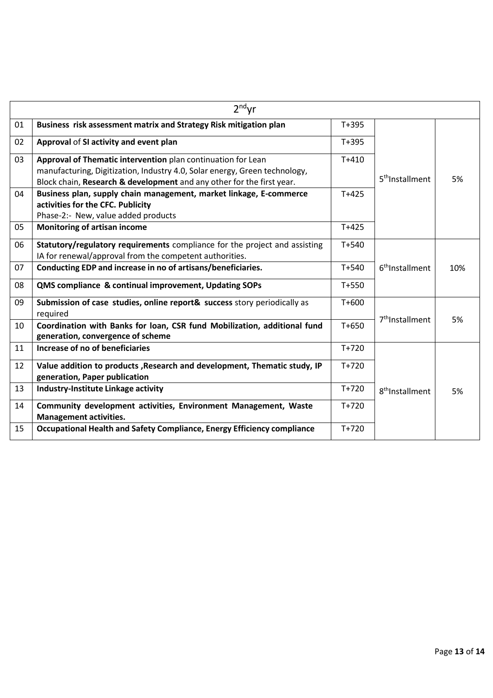| $2nd$ yr |                                                                                                               |           |                             |     |
|----------|---------------------------------------------------------------------------------------------------------------|-----------|-----------------------------|-----|
| 01       | Business risk assessment matrix and Strategy Risk mitigation plan                                             | $T+395$   |                             |     |
| 02       | Approval of SI activity and event plan                                                                        | $T + 395$ |                             |     |
| 03       | Approval of Thematic intervention plan continuation for Lean                                                  | $T + 410$ |                             |     |
|          | manufacturing, Digitization, Industry 4.0, Solar energy, Green technology,                                    |           | 5 <sup>th</sup> Installment | 5%  |
|          | Block chain, Research & development and any other for the first year.                                         |           |                             |     |
| 04       | Business plan, supply chain management, market linkage, E-commerce<br>activities for the CFC. Publicity       | $T + 425$ |                             |     |
|          | Phase-2:- New, value added products                                                                           |           |                             |     |
| 05       | <b>Monitoring of artisan income</b>                                                                           | $T+425$   |                             |     |
| 06       | Statutory/regulatory requirements compliance for the project and assisting                                    | $T + 540$ |                             |     |
|          | IA for renewal/approval from the competent authorities.                                                       |           |                             |     |
| 07       | Conducting EDP and increase in no of artisans/beneficiaries.                                                  | $T + 540$ | 6 <sup>th</sup> Installment | 10% |
| 08       | QMS compliance & continual improvement, Updating SOPs                                                         | $T + 550$ |                             |     |
| 09       | Submission of case studies, online report& success story periodically as<br>required                          | $T + 600$ | 7 <sup>th</sup> Installment | 5%  |
| 10       | Coordination with Banks for loan, CSR fund Mobilization, additional fund<br>generation, convergence of scheme | $T + 650$ |                             |     |
| 11       | Increase of no of beneficiaries                                                                               | $T+720$   |                             |     |
| 12       | Value addition to products, Research and development, Thematic study, IP                                      | $T+720$   |                             |     |
|          | generation, Paper publication                                                                                 |           |                             |     |
| 13       | Industry-Institute Linkage activity                                                                           | $T+720$   | 8 <sup>th</sup> Installment | 5%  |
| 14       | Community development activities, Environment Management, Waste                                               | $T+720$   |                             |     |
|          | <b>Management activities.</b>                                                                                 |           |                             |     |
| 15       | Occupational Health and Safety Compliance, Energy Efficiency compliance                                       | $T+720$   |                             |     |